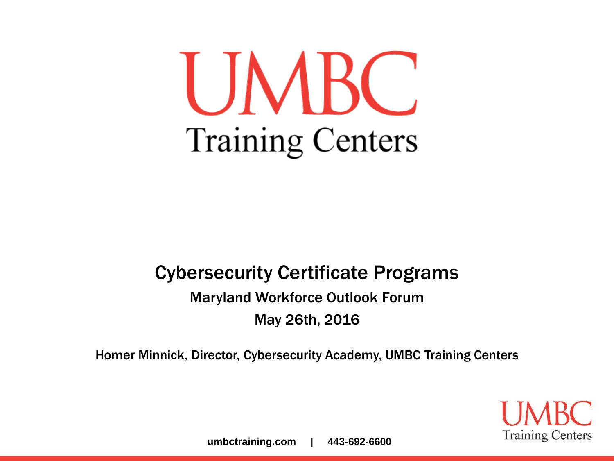UMBC **Training Centers** 

#### Cybersecurity Certificate Programs

Maryland Workforce Outlook Forum May 26th, 2016

Homer Minnick, Director, Cybersecurity Academy, UMBC Training Centers

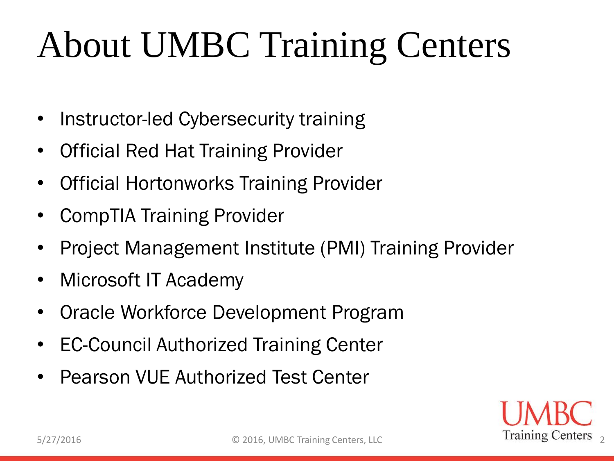# About UMBC Training Centers

- Instructor-led Cybersecurity training
- Official Red Hat Training Provider
- Official Hortonworks Training Provider
- CompTIA Training Provider
- Project Management Institute (PMI) Training Provider
- Microsoft IT Academy
- Oracle Workforce Development Program
- EC-Council Authorized Training Center
- Pearson VUE Authorized Test Center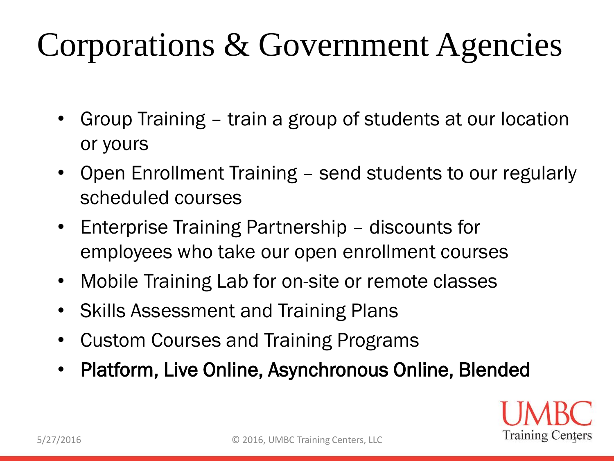#### Corporations & Government Agencies

- Group Training train a group of students at our location or yours
- Open Enrollment Training send students to our regularly scheduled courses
- Enterprise Training Partnership discounts for employees who take our open enrollment courses
- Mobile Training Lab for on-site or remote classes
- Skills Assessment and Training Plans
- Custom Courses and Training Programs
- Platform, Live Online, Asynchronous Online, Blended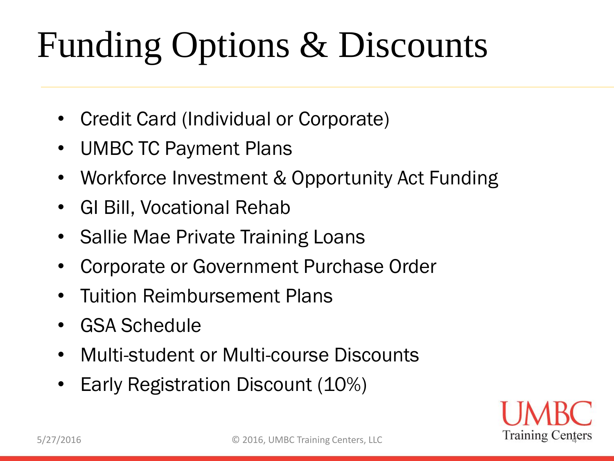# Funding Options & Discounts

- Credit Card (Individual or Corporate)
- UMBC TC Payment Plans
- Workforce Investment & Opportunity Act Funding
- GI Bill, Vocational Rehab
- Sallie Mae Private Training Loans
- Corporate or Government Purchase Order
- Tuition Reimbursement Plans
- GSA Schedule
- Multi-student or Multi-course Discounts
- Early Registration Discount (10%)

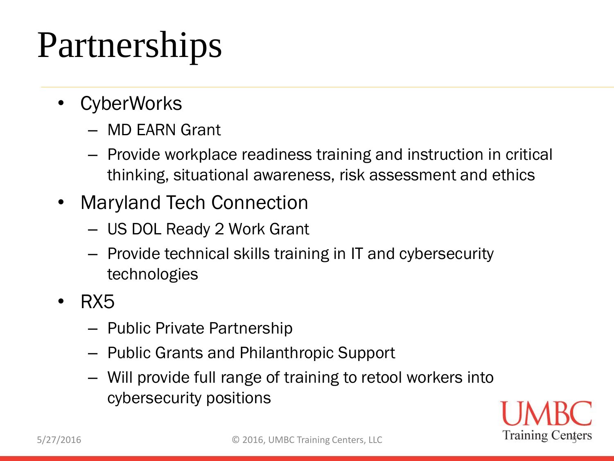## Partnerships

- **CyberWorks** 
	- MD EARN Grant
	- Provide workplace readiness training and instruction in critical thinking, situational awareness, risk assessment and ethics
- Maryland Tech Connection
	- US DOL Ready 2 Work Grant
	- Provide technical skills training in IT and cybersecurity technologies
- RX5
	- Public Private Partnership
	- Public Grants and Philanthropic Support
	- Will provide full range of training to retool workers into cybersecurity positions

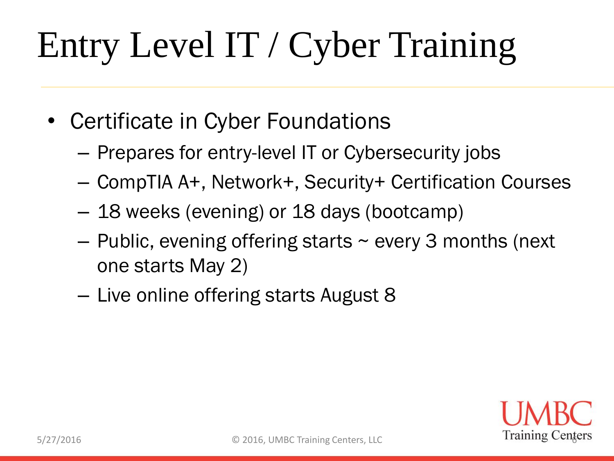# Entry Level IT / Cyber Training

- Certificate in Cyber Foundations
	- Prepares for entry-level IT or Cybersecurity jobs
	- CompTIA A+, Network+, Security+ Certification Courses
	- 18 weeks (evening) or 18 days (bootcamp)
	- $-$  Public, evening offering starts  $\sim$  every 3 months (next one starts May 2)
	- Live online offering starts August 8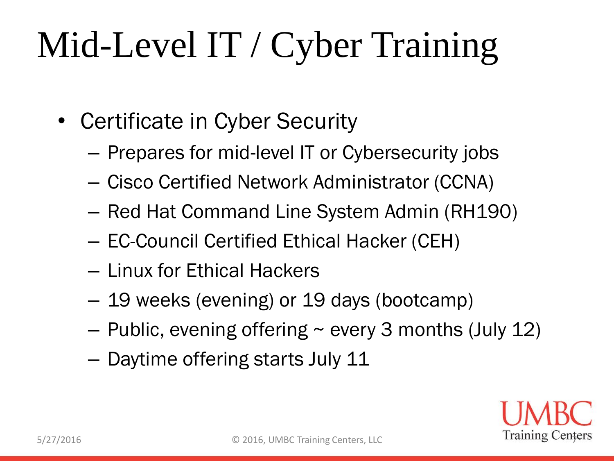# Mid-Level IT / Cyber Training

- Certificate in Cyber Security
	- Prepares for mid-level IT or Cybersecurity jobs
	- Cisco Certified Network Administrator (CCNA)
	- Red Hat Command Line System Admin (RH190)
	- EC-Council Certified Ethical Hacker (CEH)
	- Linux for Ethical Hackers
	- 19 weeks (evening) or 19 days (bootcamp)
	- $-$  Public, evening offering  $\sim$  every 3 months (July 12)
	- Daytime offering starts July 11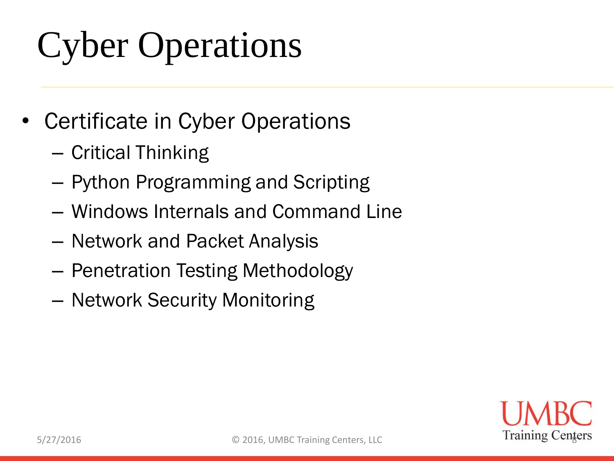# Cyber Operations

- Certificate in Cyber Operations
	- Critical Thinking
	- Python Programming and Scripting
	- Windows Internals and Command Line
	- Network and Packet Analysis
	- Penetration Testing Methodology
	- Network Security Monitoring

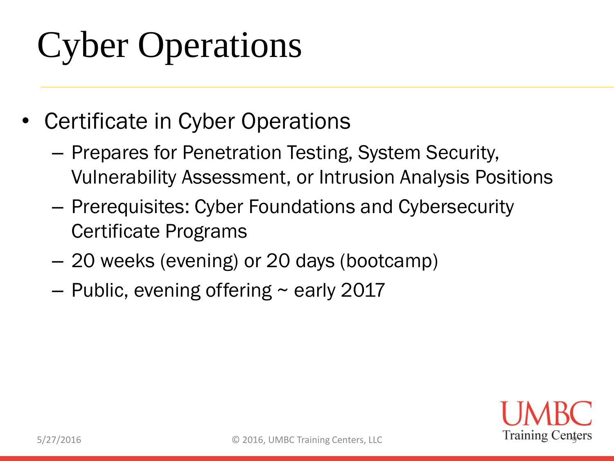# Cyber Operations

- Certificate in Cyber Operations
	- Prepares for Penetration Testing, System Security, Vulnerability Assessment, or Intrusion Analysis Positions
	- Prerequisites: Cyber Foundations and Cybersecurity Certificate Programs
	- 20 weeks (evening) or 20 days (bootcamp)
	- $-$  Public, evening offering  $\sim$  early 2017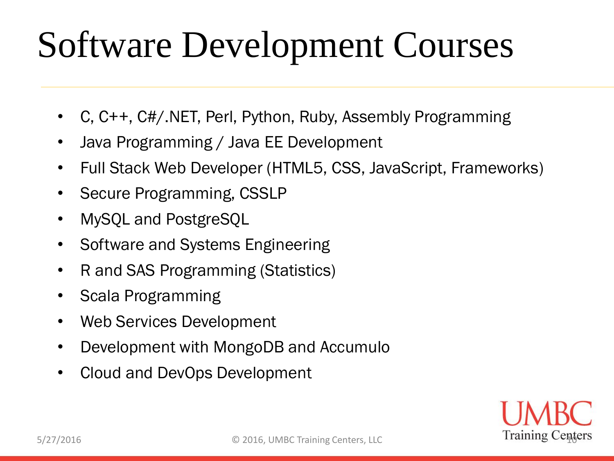## Software Development Courses

- C, C++, C#/.NET, Perl, Python, Ruby, Assembly Programming
- Java Programming / Java EE Development
- Full Stack Web Developer (HTML5, CSS, JavaScript, Frameworks)
- Secure Programming, CSSLP
- MySQL and PostgreSQL
- Software and Systems Engineering
- R and SAS Programming (Statistics)
- Scala Programming
- Web Services Development
- Development with MongoDB and Accumulo
- Cloud and DevOps Development